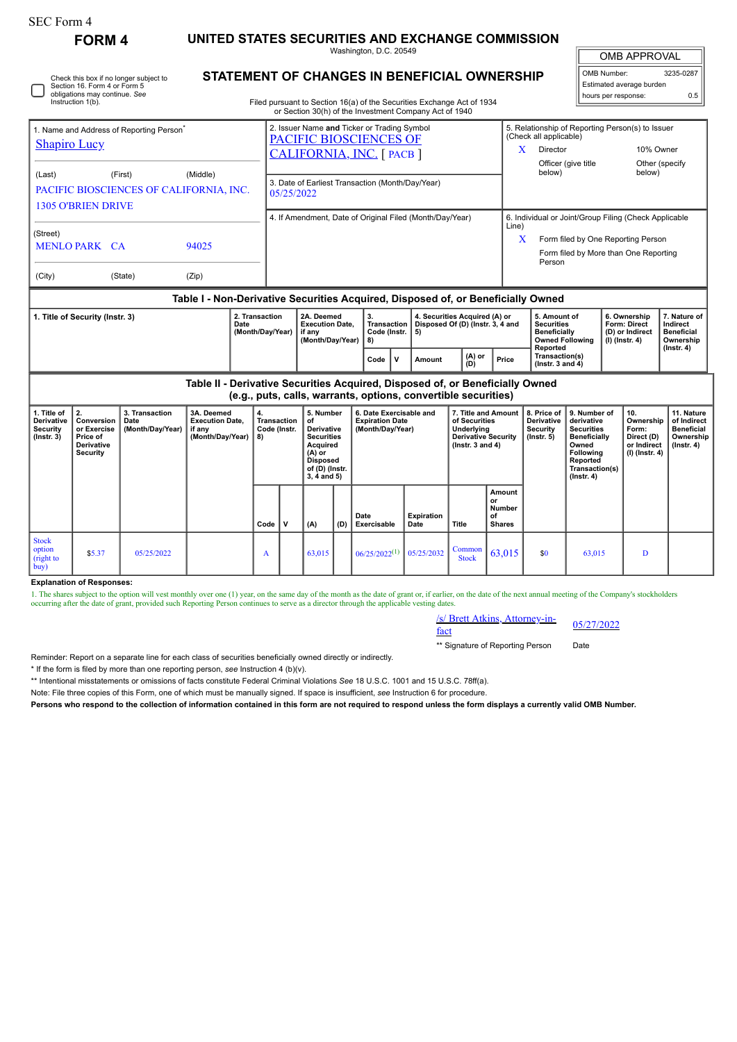| <b>SEC Form 4</b>                                                                                                            | <b>FORM4</b>                                                                 |                                                     | UNITED STATES SECURITIES AND EXCHANGE COMMISSION                              |                                                                                                                                                                             |                                                                                                                                                                                                            |                                                                                                                                                                                                                           |     |                                                                |                                                                       |                                  |                                                                                                                                                                                  |                                                                                                                                                     |                                                                                                                                                |                                   |                                                                          |                                                                                 |
|------------------------------------------------------------------------------------------------------------------------------|------------------------------------------------------------------------------|-----------------------------------------------------|-------------------------------------------------------------------------------|-----------------------------------------------------------------------------------------------------------------------------------------------------------------------------|------------------------------------------------------------------------------------------------------------------------------------------------------------------------------------------------------------|---------------------------------------------------------------------------------------------------------------------------------------------------------------------------------------------------------------------------|-----|----------------------------------------------------------------|-----------------------------------------------------------------------|----------------------------------|----------------------------------------------------------------------------------------------------------------------------------------------------------------------------------|-----------------------------------------------------------------------------------------------------------------------------------------------------|------------------------------------------------------------------------------------------------------------------------------------------------|-----------------------------------|--------------------------------------------------------------------------|---------------------------------------------------------------------------------|
| Check this box if no longer subject to<br>Section 16. Form 4 or Form 5<br>obligations may continue. See<br>Instruction 1(b). |                                                                              |                                                     |                                                                               |                                                                                                                                                                             | Washington, D.C. 20549<br>STATEMENT OF CHANGES IN BENEFICIAL OWNERSHIP<br>Filed pursuant to Section 16(a) of the Securities Exchange Act of 1934<br>or Section 30(h) of the Investment Company Act of 1940 |                                                                                                                                                                                                                           |     |                                                                |                                                                       |                                  |                                                                                                                                                                                  | OMB Number:<br>hours per response:                                                                                                                  |                                                                                                                                                |                                   | <b>OMB APPROVAL</b><br>Estimated average burden                          | 3235-0287<br>0.5                                                                |
| <b>Shapiro Lucy</b><br>(Last)                                                                                                | 1. Name and Address of Reporting Person <sup>®</sup><br>(First)              | (Middle)<br>PACIFIC BIOSCIENCES OF CALIFORNIA, INC. |                                                                               | 2. Issuer Name and Ticker or Trading Symbol<br><b>PACIFIC BIOSCIENCES OF</b><br>CALIFORNIA, INC. [ PACB ]<br>3. Date of Earliest Transaction (Month/Day/Year)<br>05/25/2022 |                                                                                                                                                                                                            |                                                                                                                                                                                                                           |     |                                                                |                                                                       |                                  | 5. Relationship of Reporting Person(s) to Issuer<br>(Check all applicable)<br>$\mathbf{X}$<br>Director<br>10% Owner<br>Officer (give title<br>Other (specify<br>below)<br>below) |                                                                                                                                                     |                                                                                                                                                |                                   |                                                                          |                                                                                 |
| (Street)<br>(City)                                                                                                           | <b>1305 O'BRIEN DRIVE</b><br>MENLO PARK CA                                   | (State)                                             | 94025<br>(Zip)                                                                |                                                                                                                                                                             |                                                                                                                                                                                                            |                                                                                                                                                                                                                           |     | 4. If Amendment, Date of Original Filed (Month/Day/Year)       |                                                                       |                                  | Line)                                                                                                                                                                            | 6. Individual or Joint/Group Filing (Check Applicable<br>X<br>Form filed by One Reporting Person<br>Form filed by More than One Reporting<br>Person |                                                                                                                                                |                                   |                                                                          |                                                                                 |
| 2. Transaction<br>1. Title of Security (Instr. 3)<br>Date                                                                    |                                                                              |                                                     |                                                                               |                                                                                                                                                                             |                                                                                                                                                                                                            | Table I - Non-Derivative Securities Acquired, Disposed of, or Beneficially Owned<br>2A. Deemed<br>4. Securities Acquired (A) or<br>3.<br>Disposed Of (D) (Instr. 3, 4 and<br><b>Execution Date.</b><br><b>Transaction</b> |     |                                                                |                                                                       |                                  |                                                                                                                                                                                  |                                                                                                                                                     | 5. Amount of<br><b>Securities</b>                                                                                                              |                                   | 6. Ownership<br><b>Form: Direct</b>                                      | 7. Nature of<br>Indirect                                                        |
|                                                                                                                              |                                                                              |                                                     |                                                                               | (Month/Day/Year)                                                                                                                                                            |                                                                                                                                                                                                            | if anv<br>(Month/Day/Year)                                                                                                                                                                                                |     | Code (Instr.<br>8)<br>Code<br>$\mathbf v$                      | 5)                                                                    | (A) or<br>Amount<br>Price<br>(D) |                                                                                                                                                                                  | <b>Beneficially</b><br><b>Owned Following</b><br>Reported<br>Transaction(s)<br>$($ Instr. 3 and 4 $)$                                               |                                                                                                                                                | (D) or Indirect<br>(I) (Instr. 4) |                                                                          | <b>Beneficial</b><br>Ownership<br>$($ Instr. 4 $)$                              |
|                                                                                                                              |                                                                              |                                                     | Table II - Derivative Securities Acquired, Disposed of, or Beneficially Owned |                                                                                                                                                                             |                                                                                                                                                                                                            |                                                                                                                                                                                                                           |     | (e.g., puts, calls, warrants, options, convertible securities) |                                                                       |                                  |                                                                                                                                                                                  |                                                                                                                                                     |                                                                                                                                                |                                   |                                                                          |                                                                                 |
| 1. Title of<br><b>Derivative</b><br><b>Security</b><br>$($ Instr. 3 $)$                                                      | 2.<br>Conversion<br>or Exercise<br>Price of<br>Derivative<br><b>Security</b> | 3. Transaction<br>Date<br>(Month/Day/Year)          | 3A. Deemed<br><b>Execution Date.</b><br>if any<br>(Month/Day/Year)            | 4.<br>8)                                                                                                                                                                    | 5. Number<br><b>Transaction</b><br>of<br>Code (Instr.<br>Derivative<br><b>Securities</b><br>Acquired<br>$(A)$ or<br><b>Disposed</b><br>of (D) (Instr.<br>$3, 4$ and $5)$                                   |                                                                                                                                                                                                                           |     |                                                                | 6. Date Exercisable and<br><b>Expiration Date</b><br>(Month/Day/Year) |                                  | 7. Title and Amount<br>of Securities<br>Underlying<br><b>Derivative Security</b><br>(Instr. $3$ and $4$ )                                                                        |                                                                                                                                                     | 9. Number of<br>derivative<br><b>Securities</b><br><b>Beneficially</b><br>Owned<br>Following<br>Reported<br>Transaction(s)<br>$($ Instr. 4 $)$ |                                   | 10.<br>Ownership<br>Form:<br>Direct (D)<br>or Indirect<br>(I) (Instr. 4) | 11. Nature<br>of Indirect<br><b>Beneficial</b><br>Ownership<br>$($ lnstr. 4 $)$ |
|                                                                                                                              |                                                                              |                                                     |                                                                               | Code                                                                                                                                                                        | v                                                                                                                                                                                                          | (A)                                                                                                                                                                                                                       | (D) | Date<br>Exercisable                                            | <b>Expiration</b><br>Date                                             | <b>Title</b>                     | Amount<br>or<br>Number<br>of<br><b>Shares</b>                                                                                                                                    |                                                                                                                                                     |                                                                                                                                                |                                   |                                                                          |                                                                                 |
| <b>Stock</b><br>option<br>(right to<br>buv                                                                                   | \$5.37                                                                       | 05/25/2022                                          |                                                                               | $\mathbf{A}$                                                                                                                                                                |                                                                                                                                                                                                            | 63.015                                                                                                                                                                                                                    |     | $06/25/2022^{(1)}$                                             | 05/25/2032                                                            | Common<br><b>Stock</b>           | 63.015                                                                                                                                                                           | \$0                                                                                                                                                 | 63,015                                                                                                                                         |                                   | D                                                                        |                                                                                 |

**Explanation of Responses:**

1. The shares subject to the option will vest monthly over one (1) year, on the same day of the month as the date of grant or, if earlier, on the date of the next annual meeting of the Company's stockholders occurring afte

/s/ Brett Atkins, Attorney-in-<br>fact

\*\* Signature of Reporting Person Date

Reminder: Report on a separate line for each class of securities beneficially owned directly or indirectly.

\* If the form is filed by more than one reporting person, *see* Instruction 4 (b)(v).

\*\* Intentional misstatements or omissions of facts constitute Federal Criminal Violations *See* 18 U.S.C. 1001 and 15 U.S.C. 78ff(a).

Note: File three copies of this Form, one of which must be manually signed. If space is insufficient, *see* Instruction 6 for procedure.

**Persons who respond to the collection of information contained in this form are not required to respond unless the form displays a currently valid OMB Number.**